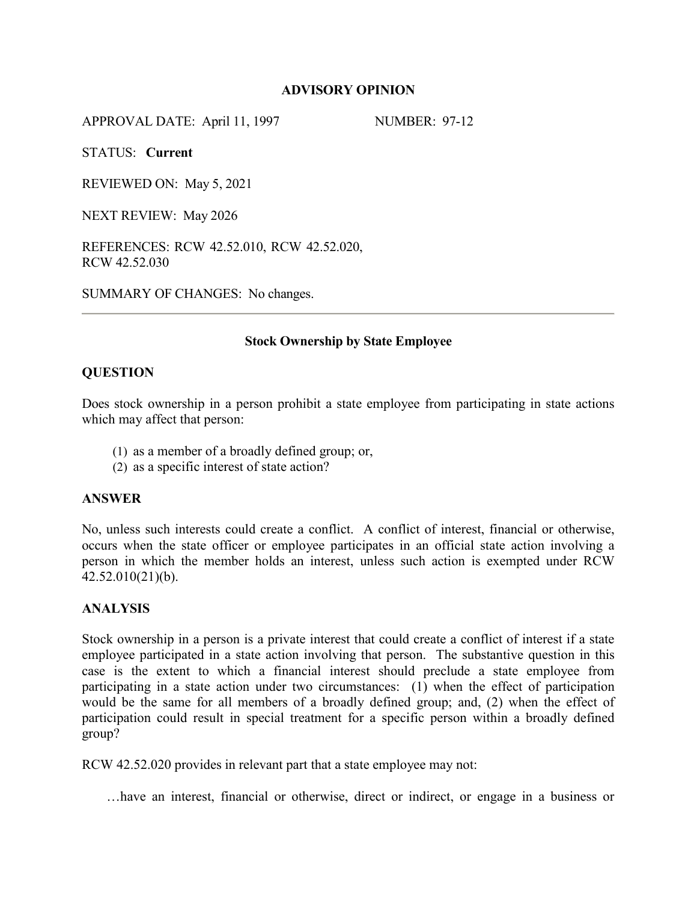# **ADVISORY OPINION**

APPROVAL DATE: April 11, 1997 NUMBER: 97-12

STATUS: **Current**

REVIEWED ON: May 5, 2021

NEXT REVIEW: May 2026

REFERENCES: RCW 42.52.010, RCW 42.52.020, RCW 42.52.030

SUMMARY OF CHANGES: No changes.

## **Stock Ownership by State Employee**

## **QUESTION**

Does stock ownership in a person prohibit a state employee from participating in state actions which may affect that person:

- (1) as a member of a broadly defined group; or,
- (2) as a specific interest of state action?

### **ANSWER**

No, unless such interests could create a conflict. A conflict of interest, financial or otherwise, occurs when the state officer or employee participates in an official state action involving a person in which the member holds an interest, unless such action is exempted under RCW 42.52.010(21)(b).

### **ANALYSIS**

Stock ownership in a person is a private interest that could create a conflict of interest if a state employee participated in a state action involving that person. The substantive question in this case is the extent to which a financial interest should preclude a state employee from participating in a state action under two circumstances: (1) when the effect of participation would be the same for all members of a broadly defined group; and, (2) when the effect of participation could result in special treatment for a specific person within a broadly defined group?

RCW 42.52.020 provides in relevant part that a state employee may not:

…have an interest, financial or otherwise, direct or indirect, or engage in a business or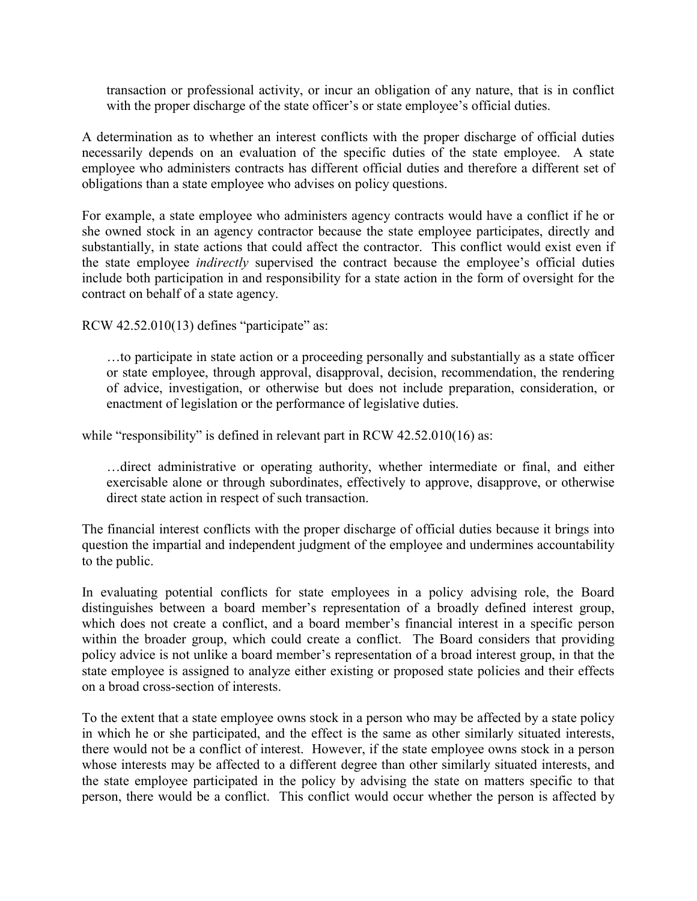transaction or professional activity, or incur an obligation of any nature, that is in conflict with the proper discharge of the state officer's or state employee's official duties.

A determination as to whether an interest conflicts with the proper discharge of official duties necessarily depends on an evaluation of the specific duties of the state employee. A state employee who administers contracts has different official duties and therefore a different set of obligations than a state employee who advises on policy questions.

For example, a state employee who administers agency contracts would have a conflict if he or she owned stock in an agency contractor because the state employee participates, directly and substantially, in state actions that could affect the contractor. This conflict would exist even if the state employee *indirectly* supervised the contract because the employee's official duties include both participation in and responsibility for a state action in the form of oversight for the contract on behalf of a state agency.

RCW  $42.52.010(13)$  defines "participate" as:

…to participate in state action or a proceeding personally and substantially as a state officer or state employee, through approval, disapproval, decision, recommendation, the rendering of advice, investigation, or otherwise but does not include preparation, consideration, or enactment of legislation or the performance of legislative duties.

while "responsibility" is defined in relevant part in RCW 42.52.010(16) as:

…direct administrative or operating authority, whether intermediate or final, and either exercisable alone or through subordinates, effectively to approve, disapprove, or otherwise direct state action in respect of such transaction.

The financial interest conflicts with the proper discharge of official duties because it brings into question the impartial and independent judgment of the employee and undermines accountability to the public.

In evaluating potential conflicts for state employees in a policy advising role, the Board distinguishes between a board member's representation of a broadly defined interest group, which does not create a conflict, and a board member's financial interest in a specific person within the broader group, which could create a conflict. The Board considers that providing policy advice is not unlike a board member's representation of a broad interest group, in that the state employee is assigned to analyze either existing or proposed state policies and their effects on a broad cross-section of interests.

To the extent that a state employee owns stock in a person who may be affected by a state policy in which he or she participated, and the effect is the same as other similarly situated interests, there would not be a conflict of interest. However, if the state employee owns stock in a person whose interests may be affected to a different degree than other similarly situated interests, and the state employee participated in the policy by advising the state on matters specific to that person, there would be a conflict. This conflict would occur whether the person is affected by